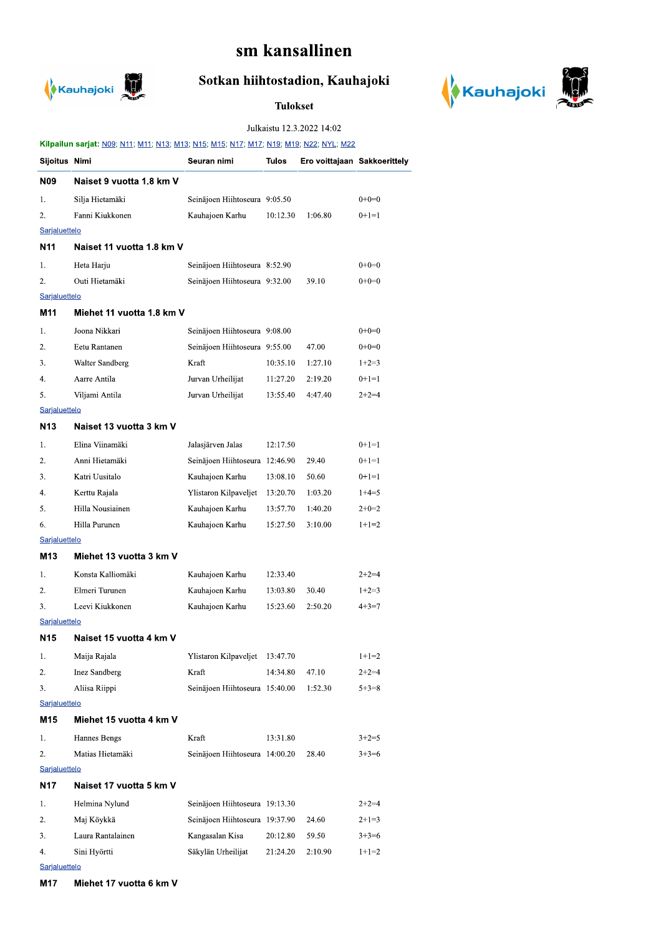# sm kansallinen



## Sotkan hiihtostadion, Kauhajoki

**Tulokset** 



Julkaistu 12.3.2022 14:02

|                                         | Kilpailun sarjat: N09; N11; M11; N13; M13; N15; M15; N17; M17; M19; M19; N22; NYL; M22 |                                |              |                              |             |  |  |  |
|-----------------------------------------|----------------------------------------------------------------------------------------|--------------------------------|--------------|------------------------------|-------------|--|--|--|
| Sijoitus Nimi                           |                                                                                        | Seuran nimi                    | <b>Tulos</b> | Ero voittajaan Sakkoerittely |             |  |  |  |
| N09                                     | Naiset 9 vuotta 1.8 km V                                                               |                                |              |                              |             |  |  |  |
| 1.                                      | Silja Hietamäki                                                                        | Seinäjoen Hiihtoseura 9:05.50  |              |                              | $0+0=0$     |  |  |  |
| 2.                                      | Fanni Kiukkonen                                                                        | Kauhajoen Karhu                | 10:12.30     | 1:06.80                      | $0+1=1$     |  |  |  |
| Sarjaluettelo                           |                                                                                        |                                |              |                              |             |  |  |  |
| N11                                     | Naiset 11 vuotta 1.8 km V                                                              |                                |              |                              |             |  |  |  |
| 1.                                      | Heta Harju                                                                             | Seinäjoen Hiihtoseura 8:52.90  |              |                              | $0+0=0$     |  |  |  |
| 2.                                      | Outi Hietamäki                                                                         | Seinäjoen Hiihtoseura 9:32.00  |              | 39.10                        | $0+0=0$     |  |  |  |
| Sarjaluettelo                           |                                                                                        |                                |              |                              |             |  |  |  |
| M11                                     | Miehet 11 vuotta 1.8 km V                                                              |                                |              |                              |             |  |  |  |
| 1.                                      | Joona Nikkari                                                                          | Seinäjoen Hiihtoseura 9:08.00  |              |                              | $0+0=0$     |  |  |  |
| 2.                                      | Eetu Rantanen                                                                          | Seinäjoen Hiihtoseura 9:55.00  |              | 47.00                        | $0+0=0$     |  |  |  |
| 3.                                      | Walter Sandberg                                                                        | Kraft                          | 10:35.10     | 1:27.10                      | $1+2=3$     |  |  |  |
| 4.                                      | Aarre Antila                                                                           | Jurvan Urheilijat              | 11:27.20     | 2:19.20                      | $0+1=1$     |  |  |  |
| 5.                                      | Viljami Antila                                                                         | Jurvan Urheilijat              | 13:55.40     | 4:47.40                      | $2+2=4$     |  |  |  |
| <b>Sarjaluettelo</b>                    |                                                                                        |                                |              |                              |             |  |  |  |
| N <sub>13</sub>                         | Naiset 13 vuotta 3 km V                                                                |                                |              |                              |             |  |  |  |
| 1.                                      | Elina Viinamäki                                                                        | Jalasjärven Jalas              | 12:17.50     |                              | $0+1=1$     |  |  |  |
| 2.                                      | Anni Hietamäki                                                                         | Seinäjoen Hiihtoseura 12:46.90 |              | 29.40                        | $0+1=1$     |  |  |  |
| 3.                                      | Katri Uusitalo                                                                         | Kauhajoen Karhu                | 13:08.10     | 50.60                        | $0+1=1$     |  |  |  |
| 4.                                      | Kerttu Rajala                                                                          | Ylistaron Kilpaveljet          | 13:20.70     | 1:03.20                      | $1+4=5$     |  |  |  |
| 5.                                      | Hilla Nousiainen                                                                       | Kauhajoen Karhu                | 13:57.70     | 1:40.20                      | $2+0=2$     |  |  |  |
| 6.                                      | Hilla Purunen                                                                          | Kauhajoen Karhu                | 15:27.50     | 3:10.00                      | $1+1=2$     |  |  |  |
| Sarjaluettelo                           |                                                                                        |                                |              |                              |             |  |  |  |
| M13                                     | Miehet 13 vuotta 3 km V                                                                |                                |              |                              |             |  |  |  |
| 1.                                      | Konsta Kalliomäki                                                                      | Kauhajoen Karhu                | 12:33.40     |                              | $2+2=4$     |  |  |  |
| 2.                                      | Elmeri Turunen                                                                         | Kauhajoen Karhu                | 13:03.80     | 30.40                        | $1+2=3$     |  |  |  |
| 3.                                      | Leevi Kiukkonen                                                                        | Kauhajoen Karhu                | 15:23.60     | 2:50.20                      | $4 + 3 = 7$ |  |  |  |
| <b>Sarjaluettelo</b><br>N <sub>15</sub> | Naiset 15 vuotta 4 km V                                                                |                                |              |                              |             |  |  |  |
|                                         |                                                                                        |                                |              |                              |             |  |  |  |
| 1.                                      | Maija Rajala                                                                           | Ylistaron Kilpaveljet          | 13:47.70     |                              | $1+1=2$     |  |  |  |
| 2.                                      | <b>Inez Sandberg</b><br>Aliisa Riippi                                                  | Kraft                          | 14:34.80     | 47.10                        | $2+2=4$     |  |  |  |
| 3.<br>Sarjaluettelo                     |                                                                                        | Seinäjoen Hiihtoseura 15:40.00 |              | 1:52.30                      | $5 + 3 = 8$ |  |  |  |
| M15                                     | Miehet 15 vuotta 4 km V                                                                |                                |              |                              |             |  |  |  |
| 1.                                      | Hannes Bengs                                                                           | Kraft                          | 13:31.80     |                              | $3+2=5$     |  |  |  |
| 2.                                      | Matias Hietamäki                                                                       | Seinäjoen Hiihtoseura 14:00.20 |              | 28.40                        | $3+3=6$     |  |  |  |
| Sarjaluettelo                           |                                                                                        |                                |              |                              |             |  |  |  |
| N17<br>Naiset 17 vuotta 5 km V          |                                                                                        |                                |              |                              |             |  |  |  |
| 1.                                      | Helmina Nylund                                                                         | Seinäjoen Hiihtoseura 19:13.30 |              |                              | $2+2=4$     |  |  |  |
| 2.                                      | Maj Köykkä                                                                             | Seinäjoen Hiihtoseura 19:37.90 |              | 24.60                        | $2+1=3$     |  |  |  |
| 3.                                      | Laura Rantalainen                                                                      | Kangasalan Kisa                | 20:12.80     | 59.50                        | $3+3=6$     |  |  |  |
| 4.                                      | Sini Hyörtti                                                                           | Säkylän Urheilijat             | 21:24.20     | 2:10.90                      | $1+1=2$     |  |  |  |
| Sarjaluettelo                           |                                                                                        |                                |              |                              |             |  |  |  |

M17 Miehet 17 vuotta 6 km V